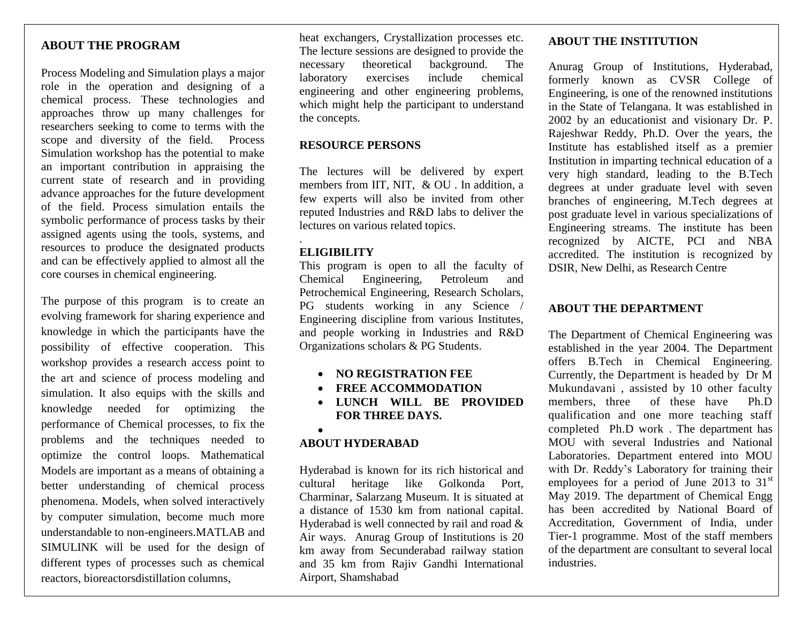# **ABOUT THE PROGRAM**

role in the operation and designing of a Process Modeling and Simulation plays a major chemical process. These technologies and approaches throw up many challenges for researchers seeking to come to terms with the scope and diversity of the field. Process Simulation workshop has the potential to make an important contribution in appraising the current state of research and in providing advance approaches for the future development of the field. Process simulation entails the symbolic performance of process tasks by their assigned agents using the tools, systems, and resources to produce the designated products and can be effectively applied to almost all the core courses in chemical engineering.

The purpose of this program is to create an evolving framework for sharing experience and knowledge in which the participants have the possibility of effective cooperation. This workshop provides a research access point to the art and science of process modeling and simulation. It also equips with the skills and knowledge needed for optimizing the performance of Chemical processes, to fix the problems and the techniques needed to optimize the control loops. Mathematical Models are important as a means of obtaining a better understanding of chemical process phenomena. Models, when solved interactively by computer simulation, become much more understandable to non-engineers.MATLAB and SIMULINK will be used for the design of different types of processes such as chemical reactors, bioreactorsdistillation columns,

heat exchangers, Crystallization processes etc. The lecture sessions are designed to provide the necessary theoretical background. The laboratory exercises include chemical engineering and other engineering problems, which might help the participant to understand the concepts.

# **RESOURCE PERSONS**

The lectures will be delivered by expert members from IIT, NIT, & OU . In addition, a few experts will also be invited from other reputed Industries and R&D labs to deliver the lectures on various related topics.

# **ELIGIBILITY**

.

This program is open to all the faculty of Chemical Engineering, Petroleum and Petrochemical Engineering, Research Scholars, PG students working in any Science / Engineering discipline from various Institutes, and people working in Industries and R&D Organizations scholars & PG Students.

- **NO REGISTRATION FEE**
- **FREE ACCOMMODATION**
- **LUNCH WILL BE PROVIDED FOR THREE DAYS.**

### $\bullet$

# **ABOUT HYDERABAD**

Hyderabad is known for its rich historical and cultural heritage like Golkonda Port, Charminar, Salarzang Museum. It is situated at a distance of 1530 km from national capital. Hyderabad is well connected by rail and road & Air ways. Anurag Group of Institutions is 20 km away from Secunderabad railway station and 35 km from Rajiv Gandhi International Airport, Shamshabad

### **ABOUT THE INSTITUTION**

Anurag Group of Institutions, Hyderabad, formerly known as CVSR College of Engineering, is one of the renowned institutions in the State of Telangana. It was established in 2002 by an educationist and visionary Dr. P. Rajeshwar Reddy, Ph.D. Over the years, the Institute has established itself as a premier Institution in imparting technical education of a very high standard, leading to the B.Tech degrees at under graduate level with seven branches of engineering, M.Tech degrees at post graduate level in various specializations of Engineering streams. The institute has been recognized by AICTE, PCI and NBA accredited. The institution is recognized by DSIR, New Delhi, as Research Centre

# **ABOUT THE DEPARTMENT**

The Department of Chemical Engineering was established in the year 2004. The Department offers B.Tech in Chemical Engineering. Currently, the Department is headed by Dr M Mukundavani , assisted by 10 other faculty members, three of these have Ph.D qualification and one more teaching staff completed Ph.D work . The department has MOU with several Industries and National Laboratories. Department entered into MOU with Dr. Reddy's Laboratory for training their employees for a period of June 2013 to  $31<sup>st</sup>$ May 2019. The department of Chemical Engg has been accredited by National Board of Accreditation, Government of India, under Tier-1 programme. Most of the staff members of the department are consultant to several local industries.